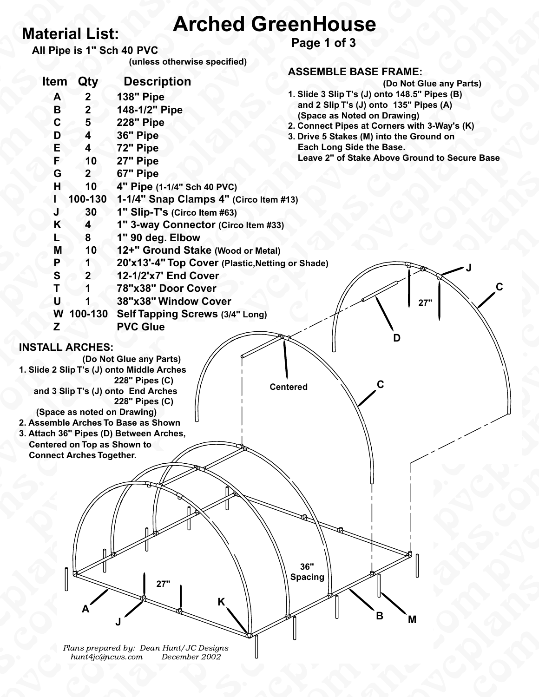**All Pipe is 1" Sch 40 PVC**

 **(unless otherwise specified)**

**Page 1 of 3**

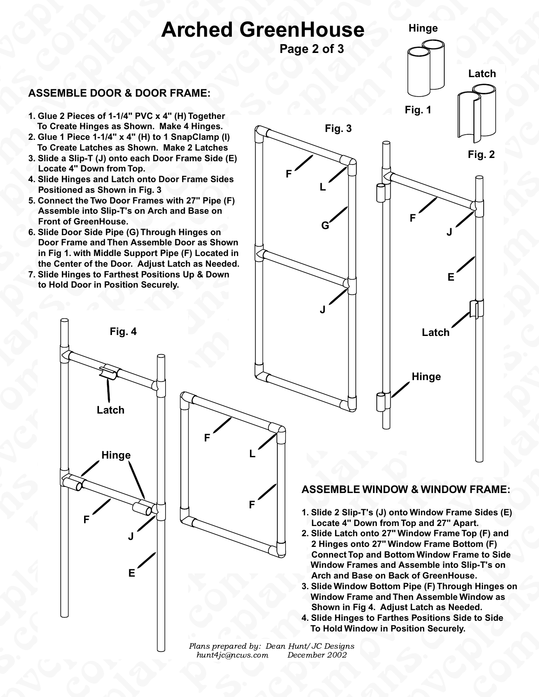**Page 2 of 3**

# ASSEMBLE DO **ASSEMBLE DOOR & DOOR FRAME:**

- A<br>
ASSEMBLE DOOR & DOOR I<br>
1. Glue 2 Pieces of 1-1/4" PVC x 4"<br>
To Create Hinges as Shown. Ma<br>
2 Glue 1 Piece 1-1/4" x 4" (H) to 1 **1. Glue 2 Pieces of 1-1/4" PVC x 4" (H) Together To Create Hinges as Shown. Make 4 Hinges.**
- **a 2. Glue 1 Piece 1-1/4" x 4" (H) to 1 SnapClamp (I) To Create Latches as Shown. Make 2 Latches**
	- **3. Slide a Slip-T (J) onto each Door Frame Side (E) Locate 4" Down from Top.**
	- **4. Slide Hinges and Latch onto Door Frame Sides Positioned as Shown in Fig. 3**
	- **5. Connect the Two Door Frames with 27" Pipe (F) Assemble into Slip-T's on Arch and Base on Front of GreenHouse.**
- 4. Slide Hinge<br>
Positioned<br>
5. Connect the<br>
Assemble<br>
Front of Gr<br>
6. Slide Door<br>
Door Fram<br>
in Fig 1. wi<br>
the Center 6. Slide Door Side Pipe (C<br>Door Frame and Then A<br>in Fig 1. with Middle Su<br>the Center of the Door.<br>7. Slide Hinges to Farthes<br>to Hold Door in Positio<br>Fig. 4 ide a Slip-T (J) onto each Door Frame Side (E)<br>
cate 4" Down from Top.<br>
ide Hinges and Latch onto Door Frame Sides<br>
sitioned as Shown in Fig. 3<br>
somect the Two Door Frames with 27" Pipe (F)<br>
ssemble into Slip-T's on Arch a **6. Slide Door Side Pipe (G) Through Hinges on Door Frame and Then Assemble Door as Shown in Fig 1. with Middle Support Pipe (F) Located in the Center of the Door. Adjust Latch as Needed.**
- to Hold Door in Position Securely.<br>Fig. 4<br>Latch<br>Hinge **7. Slide Hinges to Farthest Positions Up & Down to Hold Door in Position Securely.**

**Fig. 4**

**Latch**

**Hinge**

**F**

**J**

**E**

ns.com

s.com

cplans.com

**F**



# **ASSEMBLE WINDOW & WINDOW FRAME:**

- **1. Slide 2 Slip-T's (J) onto Window Frame Sides (E) Locate 4" Down from Top and 27" Apart.**
- ASSEMBLE WIND<br>
1. Slide 2 Slip-T's (J)<br>
2. Slide Latch onto 27<br>
2. Slide Latch onto 27<br>
2. Hinges onto 27"<br>
2. Hinges onto 27"<br>
Connect Top and Base on<br>
3. Slide Window Frames ar<br>
4. Slide Window Frame and<br>
5. Slide Window **Example 12 SEARCH SCREE WINDOW & WINDOW FRAME:**<br>
1. Slide 2 Slip-T's (J) onto Window Frame Sides (E)<br>
1. Locate 4" Down from Top and 27" Apart.<br>
2. Slide Latch onto 27" Window Frame Top (F) and<br>
2 Hinges onto 27" Window F F) and<br>i (F)<br>to Side<br>T's on<br>inges on **2. Slide Latch onto 27" Window Frame Top (F) and 2 Hinges onto 27" Window Frame Bottom (F) Connect Top and Bottom Window Frame to Side Window Frames and Assemble into Slip-T's on Arch and Base on Back of GreenHouse.**
	- indow Bottom Pipe (F) Through Hing<br>Frame and Then Assemble Window<br>in Fig 4. Adjust Latch as Needed.<br>Inges to Farthes Positions Side to S<br>Window in Position Securely. k of GreenHouse.<br>Pipe (F) Through Hinges on<br>en Assemble Window as<br>it Latch as Needed.<br>s Positions Side to Side<br>sition Securely. **3. Slide Window Bottom Pipe (F) Through Hinges on Window Frame and Then Assemble Window as Shown in Fig 4. Adjust Latch as Needed.**
	- **4. Slide Hinges to Farthes Positions Side to Side To Hold Window in Position Securely.**



**F**

**Hinge**